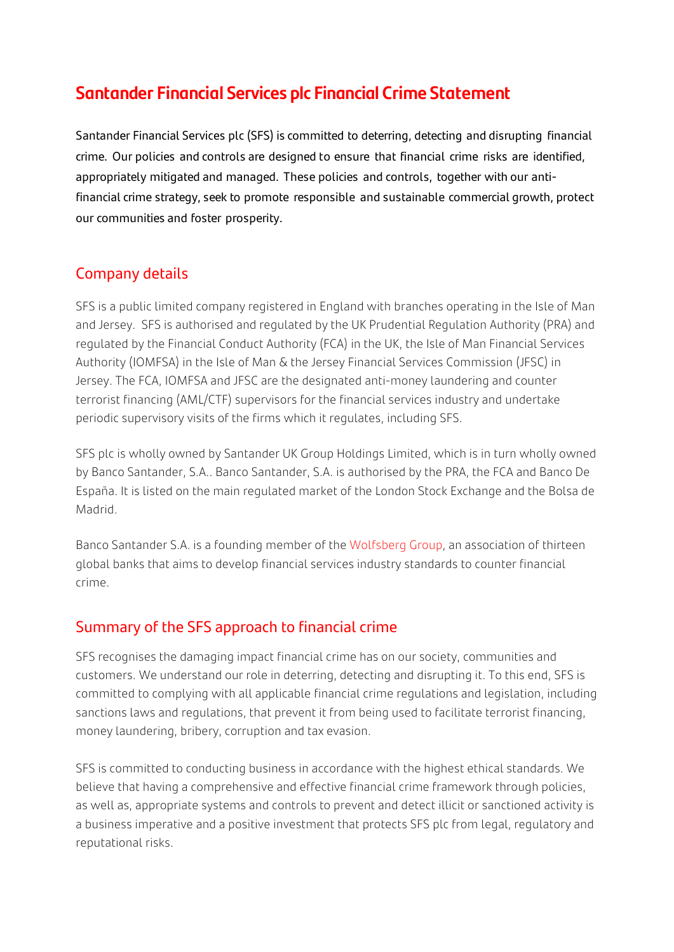# **Santander Financial Services plc Financial Crime Statement**

Santander Financial Services plc (SFS) is committed to deterring, detecting and disrupting financial crime. Our policies and controls are designed to ensure that financial crime risks are identified, appropriately mitigated and managed. These policies and controls, together with our antifinancial crime strategy, seek to promote responsible and sustainable commercial growth, protect our communities and foster prosperity.

## Company details

SFS is a public limited company registered in England with branches operating in the Isle of Man and Jersey. SFS is authorised and regulated by the UK Prudential Regulation Authority (PRA) and regulated by the Financial Conduct Authority (FCA) in the UK, the Isle of Man Financial Services Authority (IOMFSA) in the Isle of Man & the Jersey Financial Services Commission (JFSC) in Jersey. The FCA, IOMFSA and JFSC are the designated anti-money laundering and counter terrorist financing (AML/CTF) supervisors for the financial services industry and undertake periodic supervisory visits of the firms which it regulates, including SFS.

SFS plc is wholly owned by Santander UK Group Holdings Limited, which is in turn wholly owned by Banco Santander, S.A.. Banco Santander, S.A. is authorised by the PRA, the FCA and Banco De España. It is listed on the main regulated market of the London Stock Exchange and the Bolsa de Madrid.

Banco Santander S.A. is a founding member of the [Wolfsberg Group,](https://www.wolfsberg-principles.com/) an association of thirteen global banks that aims to develop financial services industry standards to counter financial crime.

### Summary of the SFS approach to financial crime

SFS recognises the damaging impact financial crime has on our society, communities and customers. We understand our role in deterring, detecting and disrupting it. To this end, SFS is committed to complying with all applicable financial crime regulations and legislation, including sanctions laws and regulations, that prevent it from being used to facilitate terrorist financing, money laundering, bribery, corruption and tax evasion.

SFS is committed to conducting business in accordance with the highest ethical standards. We believe that having a comprehensive and effective financial crime framework through policies, as well as, appropriate systems and controls to prevent and detect illicit or sanctioned activity is a business imperative and a positive investment that protects SFS plc from legal, regulatory and reputational risks.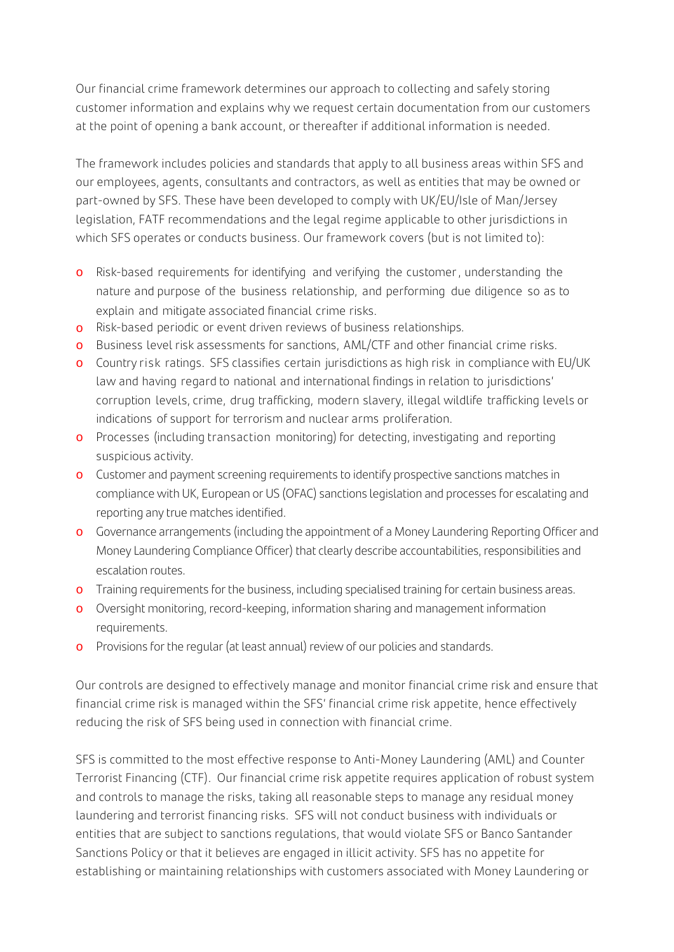Our financial crime framework determines our approach to collecting and safely storing customer information and explains why we request certain documentation from our customers at the point of opening a bank account, or thereafter if additional information is needed.

The framework includes policies and standards that apply to all business areas within SFS and our employees, agents, consultants and contractors, as well as entities that may be owned or part-owned by SFS. These have been developed to comply with UK/EU/Isle of Man/Jersey legislation, FATF recommendations and the legal regime applicable to other jurisdictions in which SFS operates or conducts business. Our framework covers (but is not limited to):

- o Risk-based requirements for identifying and verifying the customer , understanding the nature and purpose of the business relationship, and performing due diligence so as to explain and mitigate associated financial crime risks.
- o Risk-based periodic or event driven reviews of business relationships.
- o Business level risk assessments for sanctions, AML/CTF and other financial crime risks.
- o Country risk ratings. SFS classifies certain jurisdictions as high risk in compliance with EU/UK law and having regard to national and international findings in relation to jurisdictions' corruption levels, crime, drug trafficking, modern slavery, illegal wildlife trafficking levels or indications of support for terrorism and nuclear arms proliferation.
- o Processes (including transaction monitoring) for detecting, investigating and reporting suspicious activity.
- o Customer and payment screening requirements to identify prospective sanctions matches in compliance with UK, European or US (OFAC) sanctions legislation and processes for escalating and reporting any true matches identified.
- o Governance arrangements (including the appointment of a Money Laundering Reporting Officer and Money Laundering Compliance Officer) that clearly describe accountabilities, responsibilities and escalation routes.
- o Training requirements for the business, including specialised training for certain business areas.
- o Oversight monitoring, record-keeping, information sharing and management information requirements.
- o Provisions for the regular (at least annual) review of our policies and standards.

Our controls are designed to effectively manage and monitor financial crime risk and ensure that financial crime risk is managed within the SFS' financial crime risk appetite, hence effectively reducing the risk of SFS being used in connection with financial crime.

SFS is committed to the most effective response to Anti-Money Laundering (AML) and Counter Terrorist Financing (CTF). Our financial crime risk appetite requires application of robust system and controls to manage the risks, taking all reasonable steps to manage any residual money laundering and terrorist financing risks. SFS will not conduct business with individuals or entities that are subject to sanctions regulations, that would violate SFS or Banco Santander Sanctions Policy or that it believes are engaged in illicit activity. SFS has no appetite for establishing or maintaining relationships with customers associated with Money Laundering or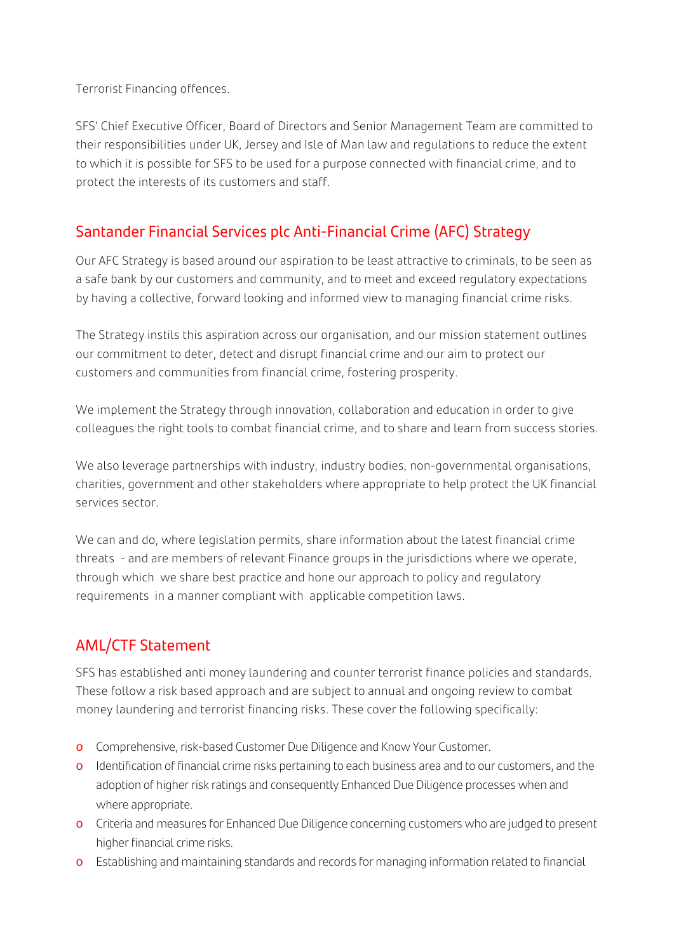Terrorist Financing offences.

SFS' Chief Executive Officer, Board of Directors and Senior Management Team are committed to their responsibilities under UK, Jersey and Isle of Man law and regulations to reduce the extent to which it is possible for SFS to be used for a purpose connected with financial crime, and to protect the interests of its customers and staff.

## Santander Financial Services plc Anti-Financial Crime (AFC) Strategy

Our AFC Strategy is based around our aspiration to be least attractive to criminals, to be seen as a safe bank by our customers and community, and to meet and exceed regulatory expectations by having a collective, forward looking and informed view to managing financial crime risks.

The Strategy instils this aspiration across our organisation, and our mission statement outlines our commitment to deter, detect and disrupt financial crime and our aim to protect our customers and communities from financial crime, fostering prosperity.

We implement the Strategy through innovation, collaboration and education in order to give colleagues the right tools to combat financial crime, and to share and learn from success stories.

We also leverage partnerships with industry, industry bodies, non-governmental organisations, charities, government and other stakeholders where appropriate to help protect the UK financial services sector.

We can and do, where legislation permits, share information about the latest financial crime threats - and are members of relevant Finance groups in the jurisdictions where we operate, through which we share best practice and hone our approach to policy and regulatory requirements in a manner compliant with applicable competition laws.

## AML/CTF Statement

SFS has established anti money laundering and counter terrorist finance policies and standards. These follow a risk based approach and are subject to annual and ongoing review to combat money laundering and terrorist financing risks. These cover the following specifically:

- o Comprehensive, risk-based Customer Due Diligence and Know Your Customer.
- o Identification of financial crime risks pertaining to each business area and to our customers, and the adoption of higher risk ratings and consequently Enhanced Due Diligence processes when and where appropriate.
- o Criteria and measures for Enhanced Due Diligence concerning customers who are judged to present higher financial crime risks.
- o Establishing and maintaining standards and records for managing information related to financial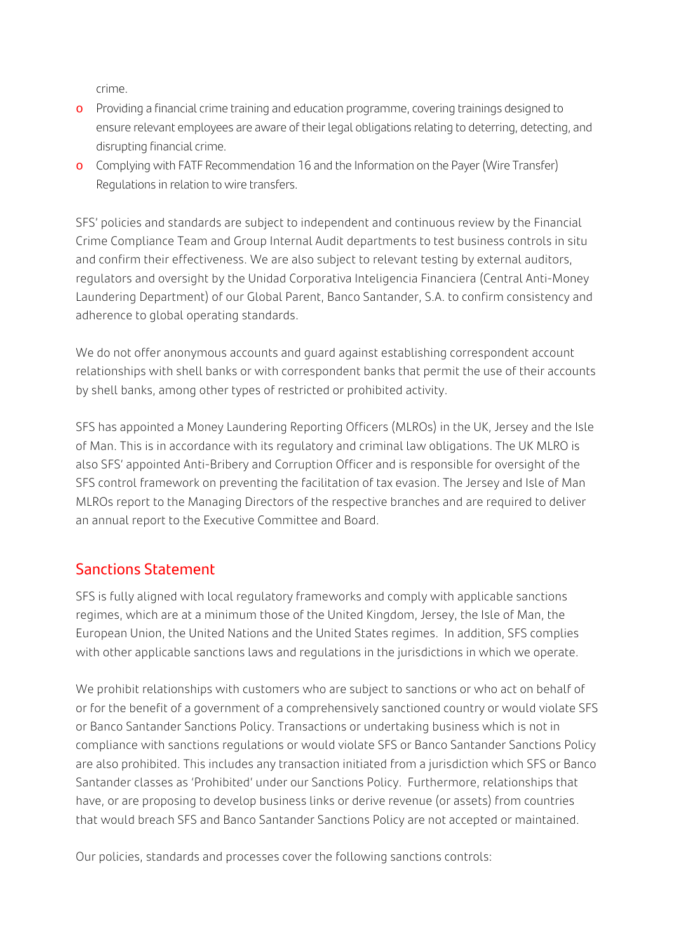crime.

- o Providing a financial crime training and education programme, covering trainings designed to ensure relevant employees are aware of their legal obligations relating to deterring, detecting, and disrupting financial crime.
- o Complying with FATF Recommendation 16 and the Information on the Payer (Wire Transfer) Regulations in relation to wire transfers.

SFS' policies and standards are subject to independent and continuous review by the Financial Crime Compliance Team and Group Internal Audit departments to test business controls in situ and confirm their effectiveness. We are also subject to relevant testing by external auditors, regulators and oversight by the Unidad Corporativa Inteligencia Financiera (Central Anti-Money Laundering Department) of our Global Parent, Banco Santander, S.A. to confirm consistency and adherence to global operating standards.

We do not offer anonymous accounts and guard against establishing correspondent account relationships with shell banks or with correspondent banks that permit the use of their accounts by shell banks, among other types of restricted or prohibited activity.

SFS has appointed a Money Laundering Reporting Officers (MLROs) in the UK, Jersey and the Isle of Man. This is in accordance with its regulatory and criminal law obligations. The UK MLRO is also SFS' appointed Anti-Bribery and Corruption Officer and is responsible for oversight of the SFS control framework on preventing the facilitation of tax evasion. The Jersey and Isle of Man MLROs report to the Managing Directors of the respective branches and are required to deliver an annual report to the Executive Committee and Board.

### Sanctions Statement

SFS is fully aligned with local regulatory frameworks and comply with applicable sanctions regimes, which are at a minimum those of the United Kingdom, Jersey, the Isle of Man, the European Union, the United Nations and the United States regimes. In addition, SFS complies with other applicable sanctions laws and regulations in the jurisdictions in which we operate.

We prohibit relationships with customers who are subject to sanctions or who act on behalf of or for the benefit of a government of a comprehensively sanctioned country or would violate SFS or Banco Santander Sanctions Policy. Transactions or undertaking business which is not in compliance with sanctions regulations or would violate SFS or Banco Santander Sanctions Policy are also prohibited. This includes any transaction initiated from a jurisdiction which SFS or Banco Santander classes as 'Prohibited' under our Sanctions Policy. Furthermore, relationships that have, or are proposing to develop business links or derive revenue (or assets) from countries that would breach SFS and Banco Santander Sanctions Policy are not accepted or maintained.

Our policies, standards and processes cover the following sanctions controls: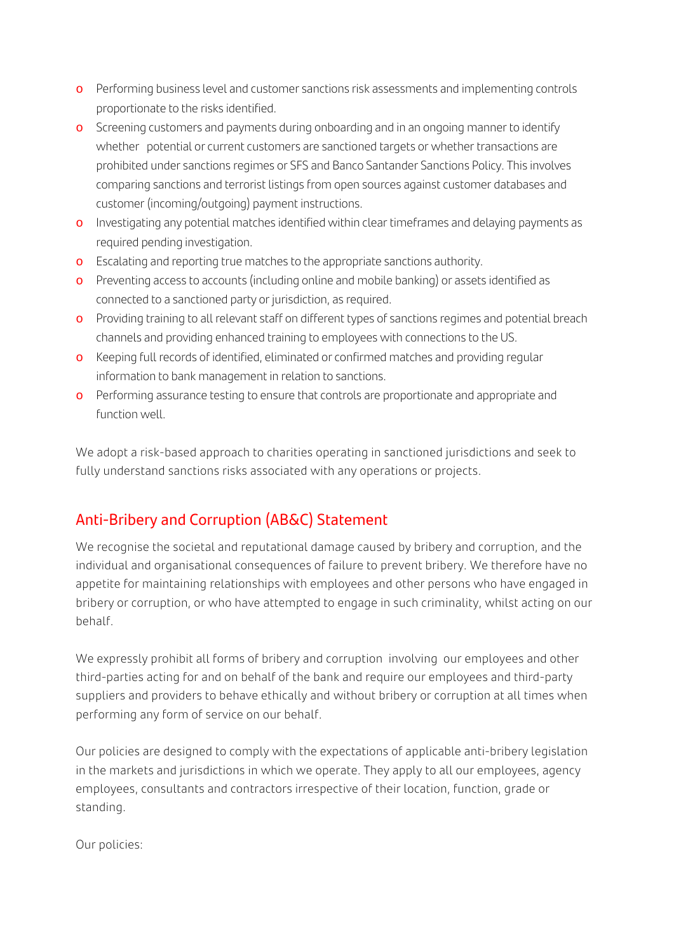- o Performing business level and customer sanctions risk assessments and implementing controls proportionate to the risks identified.
- o Screening customers and payments during onboarding and in an ongoing manner to identify whether potential or current customers are sanctioned targets or whether transactions are prohibited under sanctions regimes or SFS and Banco Santander Sanctions Policy. This involves comparing sanctions and terrorist listings from open sources against customer databases and customer (incoming/outgoing) payment instructions.
- o Investigating any potential matches identified within clear timeframes and delaying payments as required pending investigation.
- o Escalating and reporting true matches to the appropriate sanctions authority.
- o Preventing access to accounts (including online and mobile banking) or assets identified as connected to a sanctioned party or jurisdiction, as required.
- o Providing training to all relevant staff on different types of sanctions regimes and potential breach channels and providing enhanced training to employees with connections to the US.
- o Keeping full records of identified, eliminated or confirmed matches and providing regular information to bank management in relation to sanctions.
- o Performing assurance testing to ensure that controls are proportionate and appropriate and function well.

We adopt a risk-based approach to charities operating in sanctioned jurisdictions and seek to fully understand sanctions risks associated with any operations or projects.

# Anti-Bribery and Corruption (AB&C) Statement

We recognise the societal and reputational damage caused by bribery and corruption, and the individual and organisational consequences of failure to prevent bribery. We therefore have no appetite for maintaining relationships with employees and other persons who have engaged in bribery or corruption, or who have attempted to engage in such criminality, whilst acting on our behalf.

We expressly prohibit all forms of bribery and corruption involving our employees and other third-parties acting for and on behalf of the bank and require our employees and third-party suppliers and providers to behave ethically and without bribery or corruption at all times when performing any form of service on our behalf.

Our policies are designed to comply with the expectations of applicable anti-bribery legislation in the markets and jurisdictions in which we operate. They apply to all our employees, agency employees, consultants and contractors irrespective of their location, function, grade or standing.

Our policies: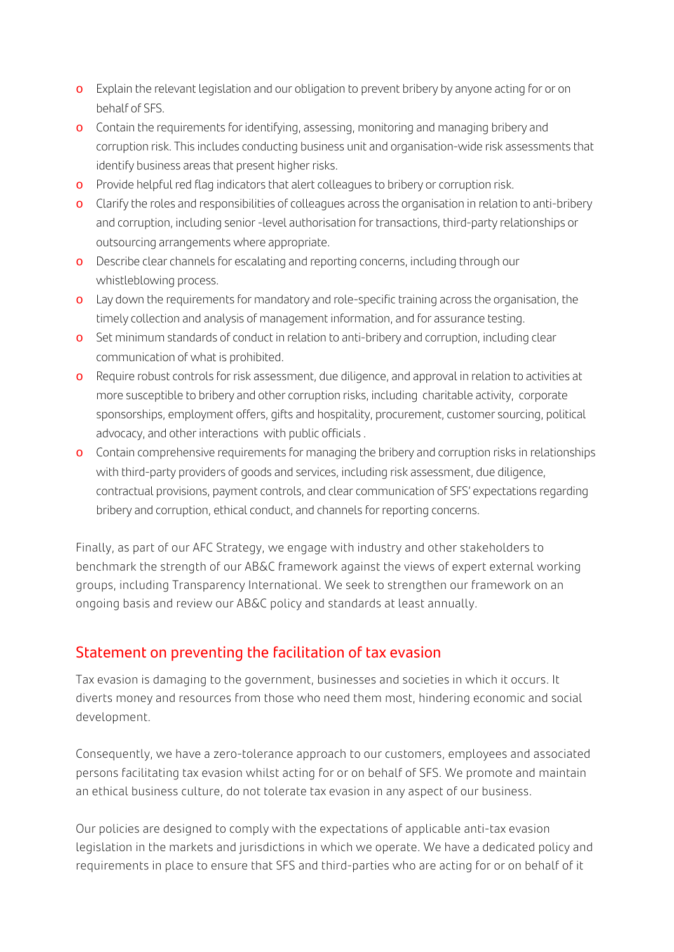- o Explain the relevant legislation and our obligation to prevent bribery by anyone acting for or on behalf of SFS.
- o Contain the requirements for identifying, assessing, monitoring and managing bribery and corruption risk. This includes conducting business unit and organisation-wide risk assessments that identify business areas that present higher risks.
- o Provide helpful red flag indicators that alert colleagues to bribery or corruption risk.
- o Clarify the roles and responsibilities of colleagues across the organisation in relation to anti-bribery and corruption, including senior -level authorisation for transactions, third-party relationships or outsourcing arrangements where appropriate.
- o Describe clear channels for escalating and reporting concerns, including through our whistleblowing process.
- o Lay down the requirements for mandatory and role-specific training across the organisation, the timely collection and analysis of management information, and for assurance testing.
- o Set minimum standards of conduct in relation to anti-bribery and corruption, including clear communication of what is prohibited.
- o Require robust controls for risk assessment, due diligence, and approval in relation to activities at more susceptible to bribery and other corruption risks, including charitable activity, corporate sponsorships, employment offers, gifts and hospitality, procurement, customer sourcing, political advocacy, and other interactions with public officials .
- o Contain comprehensive requirements for managing the bribery and corruption risks in relationships with third-party providers of goods and services, including risk assessment, due diligence, contractual provisions, payment controls, and clear communication of SFS' expectations regarding bribery and corruption, ethical conduct, and channels for reporting concerns.

Finally, as part of our AFC Strategy, we engage with industry and other stakeholders to benchmark the strength of our AB&C framework against the views of expert external working groups, including Transparency International. We seek to strengthen our framework on an ongoing basis and review our AB&C policy and standards at least annually.

## Statement on preventing the facilitation of tax evasion

Tax evasion is damaging to the government, businesses and societies in which it occurs. It diverts money and resources from those who need them most, hindering economic and social development.

Consequently, we have a zero-tolerance approach to our customers, employees and associated persons facilitating tax evasion whilst acting for or on behalf of SFS. We promote and maintain an ethical business culture, do not tolerate tax evasion in any aspect of our business.

Our policies are designed to comply with the expectations of applicable anti-tax evasion legislation in the markets and jurisdictions in which we operate. We have a dedicated policy and requirements in place to ensure that SFS and third-parties who are acting for or on behalf of it